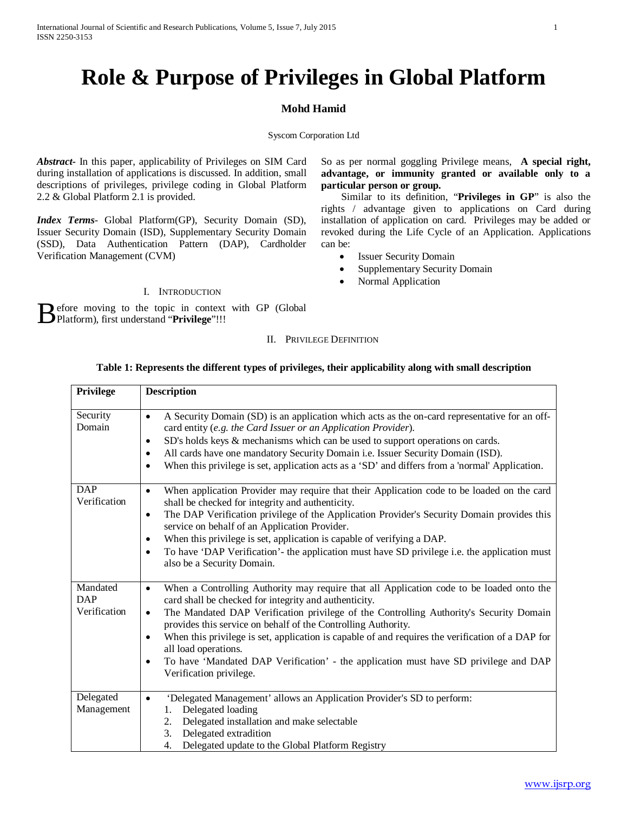# **Role & Purpose of Privileges in Global Platform**

# **Mohd Hamid**

# Syscom Corporation Ltd

*Abstract***-** In this paper, applicability of Privileges on SIM Card during installation of applications is discussed. In addition, small descriptions of privileges, privilege coding in Global Platform 2.2 & Global Platform 2.1 is provided.

*Index Terms*- Global Platform(GP), Security Domain (SD), Issuer Security Domain (ISD), Supplementary Security Domain (SSD), Data Authentication Pattern (DAP), Cardholder Verification Management (CVM)

## I. INTRODUCTION

efore moving to the topic in context with GP (Global Before moving to the topic in context Privilege"!!!

So as per normal goggling Privilege means, **A special right, advantage, or immunity granted or available only to a particular person or group.**

 Similar to its definition, "**Privileges in GP**" is also the rights / advantage given to applications on Card during installation of application on card. Privileges may be added or revoked during the Life Cycle of an Application. Applications can be:

- **Issuer Security Domain**
- Supplementary Security Domain
- Normal Application

# **Table 1: Represents the different types of privileges, their applicability along with small description**

II. PRIVILEGE DEFINITION

| Privilege                              | <b>Description</b>                                                                                                                                                                                                                                                                                                                                                                                                                                                                                                                                                                                              |
|----------------------------------------|-----------------------------------------------------------------------------------------------------------------------------------------------------------------------------------------------------------------------------------------------------------------------------------------------------------------------------------------------------------------------------------------------------------------------------------------------------------------------------------------------------------------------------------------------------------------------------------------------------------------|
| Security<br>Domain                     | A Security Domain (SD) is an application which acts as the on-card representative for an off-<br>$\bullet$<br>card entity (e.g. the Card Issuer or an Application Provider).<br>SD's holds keys & mechanisms which can be used to support operations on cards.<br>$\bullet$<br>All cards have one mandatory Security Domain i.e. Issuer Security Domain (ISD).<br>$\bullet$<br>When this privilege is set, application acts as a 'SD' and differs from a 'normal' Application.<br>٠                                                                                                                             |
| <b>DAP</b><br>Verification             | When application Provider may require that their Application code to be loaded on the card<br>$\bullet$<br>shall be checked for integrity and authenticity.<br>The DAP Verification privilege of the Application Provider's Security Domain provides this<br>$\bullet$<br>service on behalf of an Application Provider.<br>When this privilege is set, application is capable of verifying a DAP.<br>$\bullet$<br>To have 'DAP Verification'- the application must have SD privilege i.e. the application must<br>$\bullet$<br>also be a Security Domain.                                                       |
| Mandated<br><b>DAP</b><br>Verification | When a Controlling Authority may require that all Application code to be loaded onto the<br>$\bullet$<br>card shall be checked for integrity and authenticity.<br>The Mandated DAP Verification privilege of the Controlling Authority's Security Domain<br>$\bullet$<br>provides this service on behalf of the Controlling Authority.<br>When this privilege is set, application is capable of and requires the verification of a DAP for<br>$\bullet$<br>all load operations.<br>To have 'Mandated DAP Verification' - the application must have SD privilege and DAP<br>$\bullet$<br>Verification privilege. |
| Delegated<br>Management                | 'Delegated Management' allows an Application Provider's SD to perform:<br>$\bullet$<br>Delegated loading<br>1.<br>Delegated installation and make selectable<br>2.<br>3.<br>Delegated extradition<br>Delegated update to the Global Platform Registry<br>4.                                                                                                                                                                                                                                                                                                                                                     |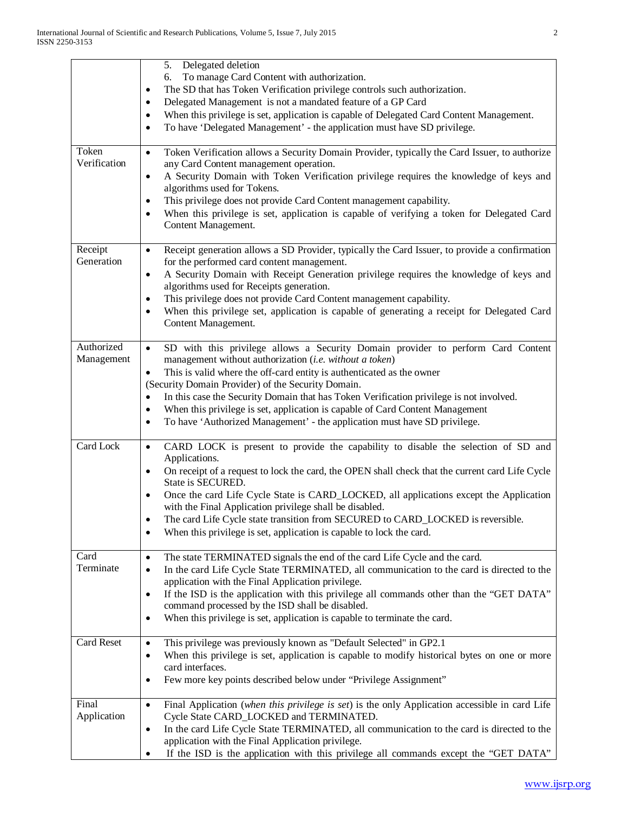|                          | Delegated deletion<br>5.<br>To manage Card Content with authorization.<br>6.<br>The SD that has Token Verification privilege controls such authorization.<br>$\bullet$<br>Delegated Management is not a mandated feature of a GP Card<br>$\bullet$<br>When this privilege is set, application is capable of Delegated Card Content Management.<br>$\bullet$<br>To have 'Delegated Management' - the application must have SD privilege.<br>$\bullet$                                                                                                                         |
|--------------------------|------------------------------------------------------------------------------------------------------------------------------------------------------------------------------------------------------------------------------------------------------------------------------------------------------------------------------------------------------------------------------------------------------------------------------------------------------------------------------------------------------------------------------------------------------------------------------|
| Token<br>Verification    | Token Verification allows a Security Domain Provider, typically the Card Issuer, to authorize<br>$\bullet$<br>any Card Content management operation.<br>A Security Domain with Token Verification privilege requires the knowledge of keys and<br>$\bullet$<br>algorithms used for Tokens.<br>This privilege does not provide Card Content management capability.<br>٠<br>When this privilege is set, application is capable of verifying a token for Delegated Card<br>Content Management.                                                                                  |
| Receipt<br>Generation    | Receipt generation allows a SD Provider, typically the Card Issuer, to provide a confirmation<br>$\bullet$<br>for the performed card content management.<br>A Security Domain with Receipt Generation privilege requires the knowledge of keys and<br>$\bullet$<br>algorithms used for Receipts generation.<br>This privilege does not provide Card Content management capability.<br>٠<br>When this privilege set, application is capable of generating a receipt for Delegated Card<br>Content Management.                                                                 |
| Authorized<br>Management | SD with this privilege allows a Security Domain provider to perform Card Content<br>$\bullet$<br>management without authorization (i.e. without a token)<br>This is valid where the off-card entity is authenticated as the owner<br>٠<br>(Security Domain Provider) of the Security Domain.<br>In this case the Security Domain that has Token Verification privilege is not involved.<br>$\bullet$<br>When this privilege is set, application is capable of Card Content Management<br>٠<br>To have 'Authorized Management' - the application must have SD privilege.<br>٠ |
| Card Lock                | CARD LOCK is present to provide the capability to disable the selection of SD and<br>$\bullet$<br>Applications.<br>On receipt of a request to lock the card, the OPEN shall check that the current card Life Cycle<br>٠<br>State is SECURED.<br>Once the card Life Cycle State is CARD_LOCKED, all applications except the Application<br>with the Final Application privilege shall be disabled.<br>The card Life Cycle state transition from SECURED to CARD_LOCKED is reversible.<br>٠<br>When this privilege is set, application is capable to lock the card.            |
| Card<br>Terminate        | The state TERMINATED signals the end of the card Life Cycle and the card.<br>$\bullet$<br>In the card Life Cycle State TERMINATED, all communication to the card is directed to the<br>$\bullet$<br>application with the Final Application privilege.<br>If the ISD is the application with this privilege all commands other than the "GET DATA"<br>$\bullet$<br>command processed by the ISD shall be disabled.<br>When this privilege is set, application is capable to terminate the card.<br>٠                                                                          |
| Card Reset               | This privilege was previously known as "Default Selected" in GP2.1<br>$\bullet$<br>When this privilege is set, application is capable to modify historical bytes on one or more<br>$\bullet$<br>card interfaces.<br>Few more key points described below under "Privilege Assignment"<br>٠                                                                                                                                                                                                                                                                                    |
| Final<br>Application     | Final Application (when this privilege is set) is the only Application accessible in card Life<br>$\bullet$<br>Cycle State CARD_LOCKED and TERMINATED.<br>In the card Life Cycle State TERMINATED, all communication to the card is directed to the<br>٠<br>application with the Final Application privilege.<br>If the ISD is the application with this privilege all commands except the "GET DATA"                                                                                                                                                                        |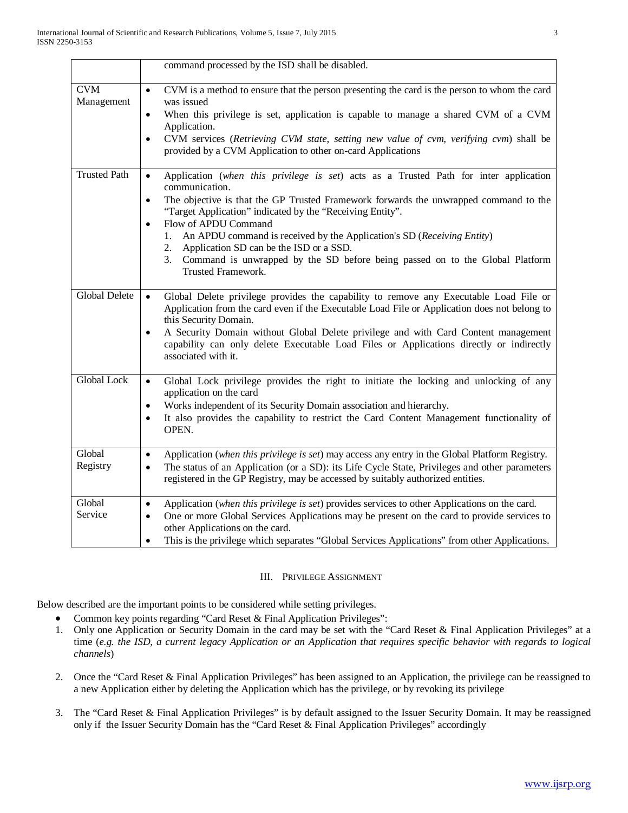|                          | command processed by the ISD shall be disabled.                                                                                                                                                                             |
|--------------------------|-----------------------------------------------------------------------------------------------------------------------------------------------------------------------------------------------------------------------------|
| <b>CVM</b><br>Management | CVM is a method to ensure that the person presenting the card is the person to whom the card<br>$\bullet$<br>was issued                                                                                                     |
|                          | When this privilege is set, application is capable to manage a shared CVM of a CVM<br>$\bullet$<br>Application.                                                                                                             |
|                          | CVM services (Retrieving CVM state, setting new value of cvm, verifying cvm) shall be<br>$\bullet$<br>provided by a CVM Application to other on-card Applications                                                           |
| <b>Trusted Path</b>      | Application (when this privilege is set) acts as a Trusted Path for inter application<br>$\bullet$<br>communication.                                                                                                        |
|                          | The objective is that the GP Trusted Framework forwards the unwrapped command to the<br>$\bullet$<br>"Target Application" indicated by the "Receiving Entity".<br>Flow of APDU Command<br>$\bullet$                         |
|                          | An APDU command is received by the Application's SD (Receiving Entity)<br>$1_{\cdot}$                                                                                                                                       |
|                          | Application SD can be the ISD or a SSD.<br>2.<br>3. Command is unwrapped by the SD before being passed on to the Global Platform<br>Trusted Framework.                                                                      |
| <b>Global Delete</b>     | Global Delete privilege provides the capability to remove any Executable Load File or<br>$\bullet$<br>Application from the card even if the Executable Load File or Application does not belong to<br>this Security Domain. |
|                          | A Security Domain without Global Delete privilege and with Card Content management<br>$\bullet$<br>capability can only delete Executable Load Files or Applications directly or indirectly<br>associated with it.           |
| <b>Global Lock</b>       | Global Lock privilege provides the right to initiate the locking and unlocking of any<br>$\bullet$<br>application on the card                                                                                               |
|                          | Works independent of its Security Domain association and hierarchy.<br>$\bullet$<br>It also provides the capability to restrict the Card Content Management functionality of<br>$\bullet$                                   |
|                          | OPEN.                                                                                                                                                                                                                       |
| Global                   | Application (when this privilege is set) may access any entry in the Global Platform Registry.<br>$\bullet$                                                                                                                 |
| Registry                 | The status of an Application (or a SD): its Life Cycle State, Privileges and other parameters<br>$\bullet$<br>registered in the GP Registry, may be accessed by suitably authorized entities.                               |
| Global                   | Application (when this privilege is set) provides services to other Applications on the card.<br>$\bullet$                                                                                                                  |
| Service                  | One or more Global Services Applications may be present on the card to provide services to<br>$\bullet$<br>other Applications on the card.                                                                                  |
|                          | This is the privilege which separates "Global Services Applications" from other Applications.                                                                                                                               |

# III. PRIVILEGE ASSIGNMENT

Below described are the important points to be considered while setting privileges.

- Common key points regarding "Card Reset & Final Application Privileges":
- 1. Only one Application or Security Domain in the card may be set with the "Card Reset & Final Application Privileges" at a time (*e.g. the ISD, a current legacy Application or an Application that requires specific behavior with regards to logical channels*)
- 2. Once the "Card Reset & Final Application Privileges" has been assigned to an Application, the privilege can be reassigned to a new Application either by deleting the Application which has the privilege, or by revoking its privilege
- 3. The "Card Reset & Final Application Privileges" is by default assigned to the Issuer Security Domain. It may be reassigned only if the Issuer Security Domain has the "Card Reset & Final Application Privileges" accordingly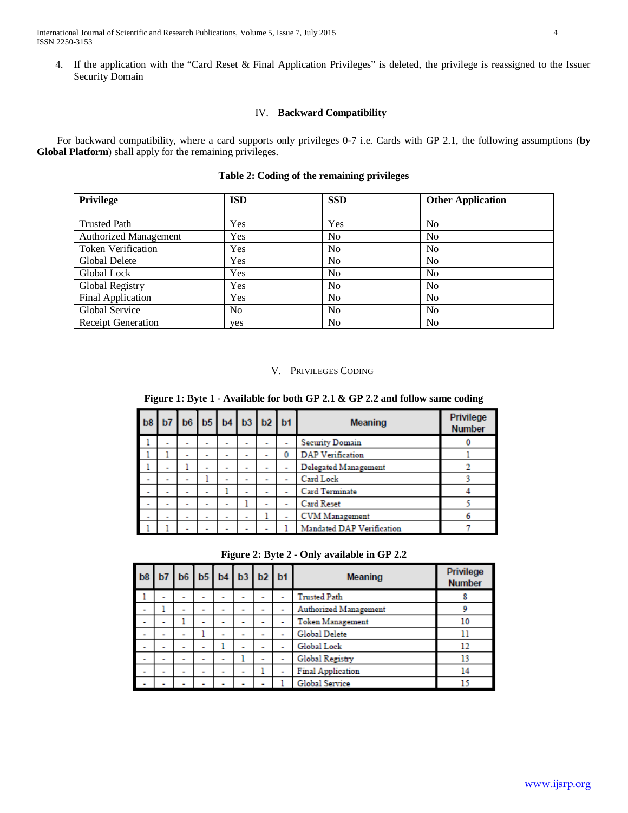4. If the application with the "Card Reset & Final Application Privileges" is deleted, the privilege is reassigned to the Issuer Security Domain

# IV. **Backward Compatibility**

 For backward compatibility, where a card supports only privileges 0-7 i.e. Cards with GP 2.1, the following assumptions (**by Global Platform**) shall apply for the remaining privileges.

|  |  | Table 2: Coding of the remaining privileges |  |
|--|--|---------------------------------------------|--|
|  |  |                                             |  |

| Privilege                    | <b>ISD</b>     | <b>SSD</b>     | <b>Other Application</b> |  |
|------------------------------|----------------|----------------|--------------------------|--|
| <b>Trusted Path</b>          | Yes            | Yes            | No                       |  |
| <b>Authorized Management</b> | Yes            | N <sub>0</sub> | No.                      |  |
| <b>Token Verification</b>    | Yes            | N <sub>0</sub> | N <sub>o</sub>           |  |
| Global Delete                | Yes            | N <sub>0</sub> | No                       |  |
| Global Lock                  | Yes            | N <sub>0</sub> | No.                      |  |
| Global Registry              | Yes            | N <sub>0</sub> | N <sub>o</sub>           |  |
| Final Application            | Yes            | No             | N <sub>o</sub>           |  |
| Global Service               | N <sub>0</sub> | N <sub>0</sub> | No.                      |  |
| Receipt Generation           | yes            | N <sub>0</sub> | N <sub>0</sub>           |  |

# V. PRIVILEGES CODING

**Figure 1: Byte 1 - Available for both GP 2.1 & GP 2.2 and follow same coding**

| b8                       |                          |   |                          |   |                          | b7 b6 b5 b4 b3 b2 b1 |   | <b>Meaning</b>            | <b>Privilege</b><br><b>Number</b> |
|--------------------------|--------------------------|---|--------------------------|---|--------------------------|----------------------|---|---------------------------|-----------------------------------|
|                          | -                        | - | -                        |   |                          |                      |   | <b>Security Domain</b>    |                                   |
|                          |                          | - | -                        |   | -                        |                      | 0 | <b>DAP</b> Verification   |                                   |
|                          | ۰                        |   | $\overline{\phantom{a}}$ | - | $\overline{\phantom{a}}$ |                      |   | Delegated Management      |                                   |
| $\overline{\phantom{a}}$ | ۰                        | - |                          |   | ۰                        |                      |   | <b>Card Lock</b>          |                                   |
| $\overline{\phantom{a}}$ | -                        | - | -                        |   | -                        |                      |   | <b>Card Terminate</b>     |                                   |
|                          | $\overline{\phantom{a}}$ | - | $\overline{\phantom{a}}$ | - |                          |                      |   | <b>Card Reset</b>         |                                   |
| ٠                        | ٠                        | ٠ | ٠                        | ۰ | $\overline{\phantom{a}}$ |                      |   | <b>CVM</b> Management     |                                   |
|                          |                          |   |                          |   |                          |                      |   | Mandated DAP Verification |                                   |

|  |  | Figure 2: Byte 2 - Only available in GP 2.2 |  |  |
|--|--|---------------------------------------------|--|--|
|  |  |                                             |  |  |

| b8                       |                          | b6                       |   |                          | b5 b4 b3 b2 b1           |                          | <b>Meaning</b>           | Privilege<br><b>Number</b> |
|--------------------------|--------------------------|--------------------------|---|--------------------------|--------------------------|--------------------------|--------------------------|----------------------------|
| ш                        | $\overline{\phantom{a}}$ | $\overline{\phantom{a}}$ | - | $\overline{\phantom{a}}$ | $\overline{\phantom{a}}$ | $\overline{\phantom{a}}$ | <b>Trusted Path</b>      |                            |
|                          |                          | ۰                        | - | -                        | $\overline{\phantom{a}}$ | $\overline{\phantom{a}}$ | Authorized Management    |                            |
|                          | -                        |                          | - | -                        |                          |                          | <b>Token Management</b>  | 10                         |
| ۰                        | ۰                        | ۰                        |   | -                        | -                        | ۰                        | Global Delete            |                            |
|                          | ۰                        | ۰                        | - |                          | -                        | -                        | Global Lock              | 12                         |
| -                        | ۰                        | ۰                        | - |                          |                          | -                        | Global Registry          |                            |
| $\overline{\phantom{a}}$ | $\overline{\phantom{a}}$ | ۰                        | - | -                        | $\overline{\phantom{a}}$ |                          | <b>Final Application</b> | 14                         |
|                          |                          |                          |   |                          |                          |                          | Global Service           |                            |